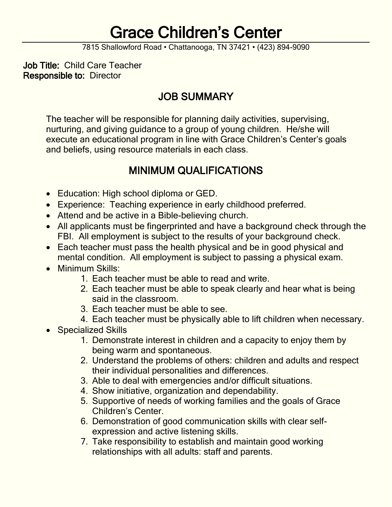# Grace Children's Center

7815 Shallowford Road • Chattanooga, TN 37421 • (423) 894-9090

Job Title: Child Care Teacher Responsible to: Director

### JOB SUMMARY

The teacher will be responsible for planning daily activities, supervising, nurturing, and giving guidance to a group of young children. He/she will execute an educational program in line with Grace Children's Center's goals and beliefs, using resource materials in each class.

### MINIMUM QUALIFICATIONS

- Education: High school diploma or GED.
- Experience: Teaching experience in early childhood preferred.
- Attend and be active in a Bible-believing church.
- All applicants must be fingerprinted and have a background check through the FBI. All employment is subject to the results of your background check.
- Each teacher must pass the health physical and be in good physical and mental condition. All employment is subject to passing a physical exam.
- Minimum Skills:
	- 1. Each teacher must be able to read and write.
	- 2. Each teacher must be able to speak clearly and hear what is being said in the classroom.
	- 3. Each teacher must be able to see.
	- 4. Each teacher must be physically able to lift children when necessary.
- Specialized Skills
	- 1. Demonstrate interest in children and a capacity to enjoy them by being warm and spontaneous.
	- 2. Understand the problems of others: children and adults and respect their individual personalities and differences.
	- 3. Able to deal with emergencies and/or difficult situations.
	- 4. Show initiative, organization and dependability.
	- 5. Supportive of needs of working families and the goals of Grace Children's Center.
	- 6. Demonstration of good communication skills with clear selfexpression and active listening skills.
	- 7. Take responsibility to establish and maintain good working relationships with all adults: staff and parents.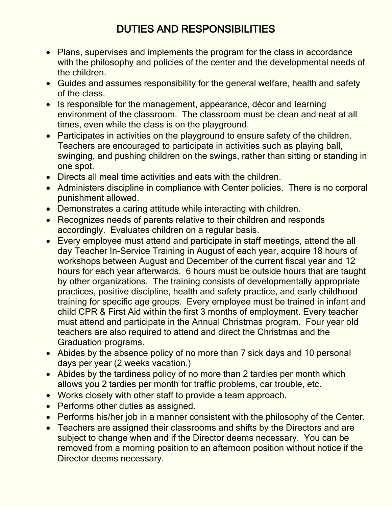### DUTIES AND RESPONSIBILITIES

- Plans, supervises and implements the program for the class in accordance with the philosophy and policies of the center and the developmental needs of the children.
- Guides and assumes responsibility for the general welfare, health and safety of the class.
- Is responsible for the management, appearance, décor and learning environment of the classroom. The classroom must be clean and neat at all times, even while the class is on the playground.
- Participates in activities on the playground to ensure safety of the children. Teachers are encouraged to participate in activities such as playing ball, swinging, and pushing children on the swings, rather than sitting or standing in one spot.
- Directs all meal time activities and eats with the children.
- Administers discipline in compliance with Center policies. There is no corporal punishment allowed.
- Demonstrates a caring attitude while interacting with children.
- Recognizes needs of parents relative to their children and responds accordingly. Evaluates children on a regular basis.
- Every employee must attend and participate in staff meetings, attend the all day Teacher In-Service Training in August of each year, acquire 18 hours of workshops between August and December of the current fiscal year and 12 hours for each year afterwards. 6 hours must be outside hours that are taught by other organizations. The training consists of developmentally appropriate practices, positive discipline, health and safety practice, and early childhood training for specific age groups. Every employee must be trained in infant and child CPR & First Aid within the first 3 months of employment. Every teacher must attend and participate in the Annual Christmas program. Four year old teachers are also required to attend and direct the Christmas and the Graduation programs.
- Abides by the absence policy of no more than 7 sick days and 10 personal days per year (2 weeks vacation.)
- Abides by the tardiness policy of no more than 2 tardies per month which allows you 2 tardies per month for traffic problems, car trouble, etc.
- Works closely with other staff to provide a team approach.
- Performs other duties as assigned.
- Performs his/her job in a manner consistent with the philosophy of the Center.
- Teachers are assigned their classrooms and shifts by the Directors and are subject to change when and if the Director deems necessary. You can be removed from a morning position to an afternoon position without notice if the Director deems necessary.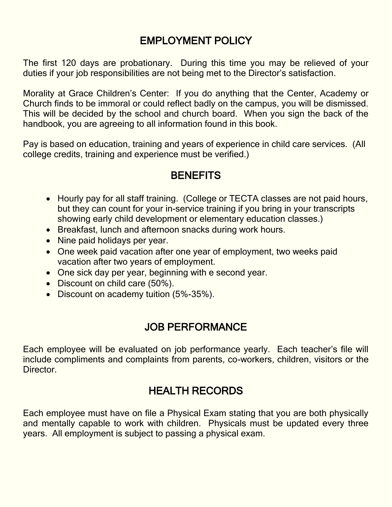### EMPLOYMENT POLICY

The first 120 days are probationary. During this time you may be relieved of your duties if your job responsibilities are not being met to the Director's satisfaction.

Morality at Grace Children's Center: If you do anything that the Center, Academy or Church finds to be immoral or could reflect badly on the campus, you will be dismissed. This will be decided by the school and church board. When you sign the back of the handbook, you are agreeing to all information found in this book.

Pay is based on education, training and years of experience in child care services. (All college credits, training and experience must be verified.)

#### **BENEFITS**

- Hourly pay for all staff training. (College or TECTA classes are not paid hours, but they can count for your in-service training if you bring in your transcripts showing early child development or elementary education classes.)
- Breakfast, lunch and afternoon snacks during work hours.
- Nine paid holidays per year.
- One week paid vacation after one year of employment, two weeks paid vacation after two years of employment.
- One sick day per year, beginning with e second year.
- Discount on child care (50%).
- Discount on academy tuition (5%-35%).

### JOB PERFORMANCE

Each employee will be evaluated on job performance yearly. Each teacher's file will include compliments and complaints from parents, co-workers, children, visitors or the Director.

### HEALTH RECORDS

Each employee must have on file a Physical Exam stating that you are both physically and mentally capable to work with children. Physicals must be updated every three years. All employment is subject to passing a physical exam.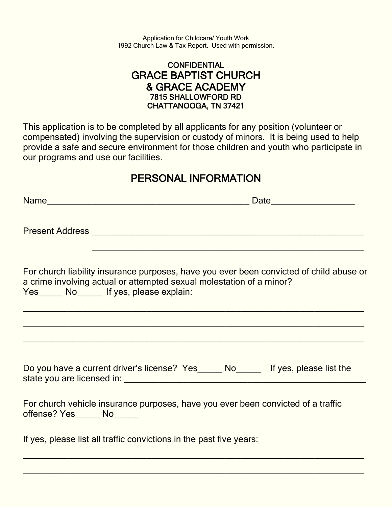Application for Childcare/ Youth Work 1992 Church Law & Tax Report. Used with permission.

#### **CONFIDENTIAL** GRACE BAPTIST CHURCH & GRACE ACADEMY 7815 SHALLOWFORD RD CHATTANOOGA, TN 37421

This application is to be completed by all applicants for any position (volunteer or compensated) involving the supervision or custody of minors. It is being used to help provide a safe and secure environment for those children and youth who participate in our programs and use our facilities.

### PERSONAL INFORMATION

|                             | For church liability insurance purposes, have you ever been convicted of child abuse or<br>a crime involving actual or attempted sexual molestation of a minor?<br>Yes______ No______ If yes, please explain: |
|-----------------------------|---------------------------------------------------------------------------------------------------------------------------------------------------------------------------------------------------------------|
|                             |                                                                                                                                                                                                               |
|                             | Do you have a current driver's license? Yes_____ No_____ If yes, please list the                                                                                                                              |
| offense? Yes______ No______ | For church vehicle insurance purposes, have you ever been convicted of a traffic                                                                                                                              |
|                             | If yes, please list all traffic convictions in the past five years:                                                                                                                                           |

 $\_$  , and the contribution of the contribution of  $\mathcal{L}_\mathcal{A}$  , and the contribution of  $\mathcal{L}_\mathcal{A}$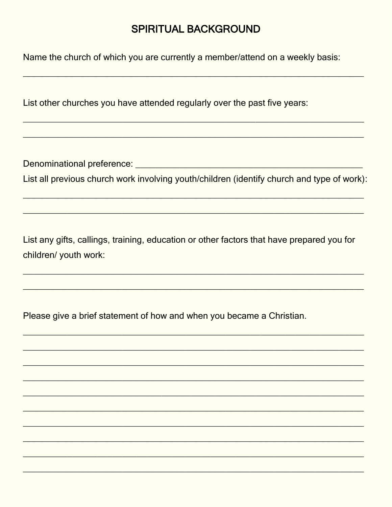#### **SPIRITUAL BACKGROUND**

Name the church of which you are currently a member/attend on a weekly basis:

List other churches you have attended regularly over the past five years:

List all previous church work involving youth/children (identify church and type of work):

List any gifts, callings, training, education or other factors that have prepared you for children/ youth work:

Please give a brief statement of how and when you became a Christian.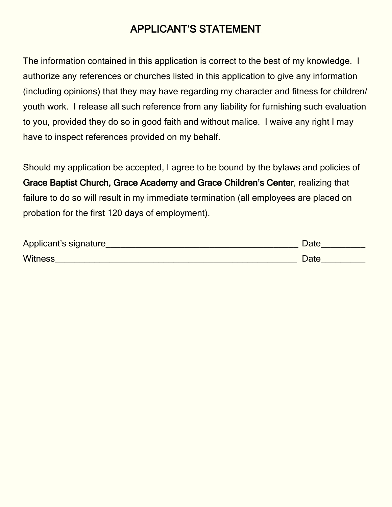### APPLICANT'S STATEMENT

The information contained in this application is correct to the best of my knowledge. I authorize any references or churches listed in this application to give any information (including opinions) that they may have regarding my character and fitness for children/ youth work. I release all such reference from any liability for furnishing such evaluation to you, provided they do so in good faith and without malice. I waive any right I may have to inspect references provided on my behalf.

Should my application be accepted, I agree to be bound by the bylaws and policies of Grace Baptist Church, Grace Academy and Grace Children's Center, realizing that failure to do so will result in my immediate termination (all employees are placed on probation for the first 120 days of employment).

| Applicant's signature | Date |
|-----------------------|------|
| <b>Witness</b>        | Date |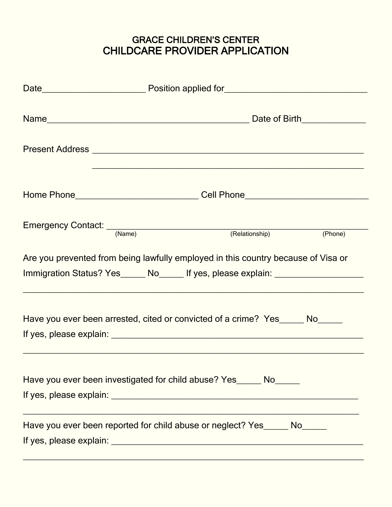#### GRACE CHILDREN'S CENTER CHILDCARE PROVIDER APPLICATION

|  | Home Phone Manual Cell Phone Manual Cell Phone Manual Cell Phone Manual Cell Phone Manual Cell Phone Manual Cel                                                       |  |  |
|--|-----------------------------------------------------------------------------------------------------------------------------------------------------------------------|--|--|
|  | Emergency Contact: <u>(Name)</u> (Relationship) (Phone)                                                                                                               |  |  |
|  | Are you prevented from being lawfully employed in this country because of Visa or<br>Immigration Status? Yes______ No_____ If yes, please explain: __________________ |  |  |
|  | Have you ever been arrested, cited or convicted of a crime? Yes ______ No                                                                                             |  |  |
|  | Have you ever been investigated for child abuse? Yes ______ No______                                                                                                  |  |  |
|  | Have you ever been reported for child abuse or neglect? Yes______ No______                                                                                            |  |  |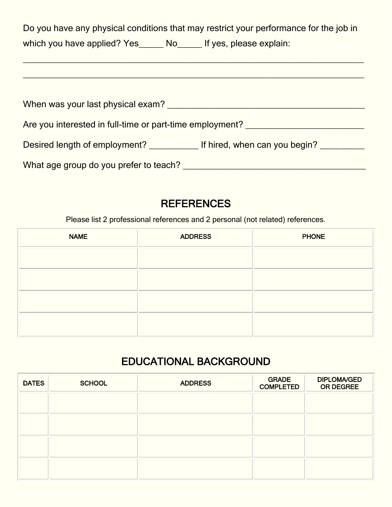Do you have any physical conditions that may restrict your performance for the job in which you have applied? Yes\_\_\_\_\_\_ No\_\_\_\_\_ If yes, please explain:

 $\_$  , and the contribution of the contribution of  $\mathcal{L}_\mathcal{A}$  , and the contribution of  $\mathcal{L}_\mathcal{A}$ 

| When was your last physical exam?                        |                               |
|----------------------------------------------------------|-------------------------------|
| Are you interested in full-time or part-time employment? |                               |
| Desired length of employment?                            | If hired, when can you begin? |
| What age group do you prefer to teach?                   |                               |

### **REFERENCES**

Please list 2 professional references and 2 personal (not related) references.

| <b>NAME</b> | <b>ADDRESS</b> | <b>PHONE</b> |
|-------------|----------------|--------------|
|             |                |              |
|             |                |              |
|             |                |              |
|             |                |              |

### EDUCATIONAL BACKGROUND

| <b>DATES</b> | <b>SCHOOL</b> | <b>ADDRESS</b> | <b>GRADE</b><br><b>COMPLETED</b> | <b>DIPLOMA/GED</b><br><b>OR DEGREE</b> |
|--------------|---------------|----------------|----------------------------------|----------------------------------------|
|              |               |                |                                  |                                        |
|              |               |                |                                  |                                        |
|              |               |                |                                  |                                        |
|              |               |                |                                  |                                        |
|              |               |                |                                  |                                        |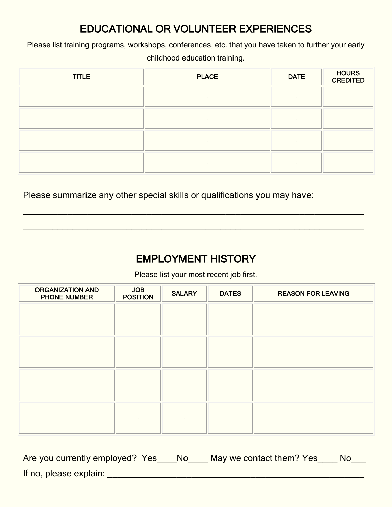### EDUCATIONAL OR VOLUNTEER EXPERIENCES

Please list training programs, workshops, conferences, etc. that you have taken to further your early

childhood education training.

| <b>TITLE</b> | <b>PLACE</b> | <b>DATE</b> | HOURS<br>CREDITED |
|--------------|--------------|-------------|-------------------|
|              |              |             |                   |
|              |              |             |                   |
|              |              |             |                   |
|              |              |             |                   |

Please summarize any other special skills or qualifications you may have:

### EMPLOYMENT HISTORY

 $\_$  , and the set of the set of the set of the set of the set of the set of the set of the set of the set of the set of the set of the set of the set of the set of the set of the set of the set of the set of the set of th

 $\overline{\phantom{a}}$  , and the contribution of the contribution of the contribution of the contribution of the contribution of the contribution of the contribution of the contribution of the contribution of the contribution of the

Please list your most recent job first.

| <b>ORGANIZATION AND</b><br><b>PHONE NUMBER</b> | <b>JOB</b><br><b>POSITION</b> | <b>SALARY</b> | <b>DATES</b> | <b>REASON FOR LEAVING</b> |
|------------------------------------------------|-------------------------------|---------------|--------------|---------------------------|
|                                                |                               |               |              |                           |
|                                                |                               |               |              |                           |
|                                                |                               |               |              |                           |
|                                                |                               |               |              |                           |
|                                                |                               |               |              |                           |
|                                                |                               |               |              |                           |
|                                                |                               |               |              |                           |
|                                                |                               |               |              |                           |
|                                                |                               |               |              |                           |

| Are you currently employed? Yes | - No | May we contact them? Yes | No |
|---------------------------------|------|--------------------------|----|
| If no, please explain:          |      |                          |    |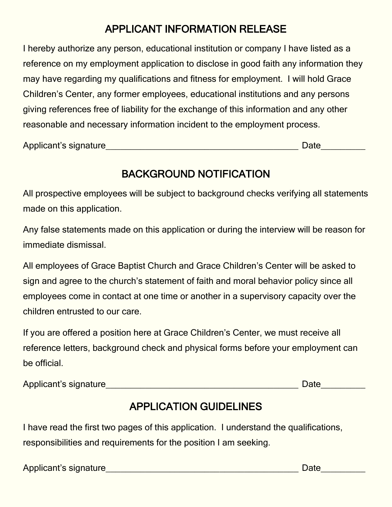### APPLICANT INFORMATION RELEASE

I hereby authorize any person, educational institution or company I have listed as a reference on my employment application to disclose in good faith any information they may have regarding my qualifications and fitness for employment. I will hold Grace Children's Center, any former employees, educational institutions and any persons giving references free of liability for the exchange of this information and any other reasonable and necessary information incident to the employment process.

Applicant's signature\_\_\_\_\_\_\_\_\_\_\_\_\_\_\_\_\_\_\_\_\_\_\_\_\_\_\_\_\_\_\_\_\_\_\_\_\_\_\_ Date\_\_\_\_\_\_\_\_\_

## BACKGROUND NOTIFICATION

All prospective employees will be subject to background checks verifying all statements made on this application.

Any false statements made on this application or during the interview will be reason for immediate dismissal.

All employees of Grace Baptist Church and Grace Children's Center will be asked to sign and agree to the church's statement of faith and moral behavior policy since all employees come in contact at one time or another in a supervisory capacity over the children entrusted to our care.

If you are offered a position here at Grace Children's Center, we must receive all reference letters, background check and physical forms before your employment can be official.

Applicant's signature\_\_\_\_\_\_\_\_\_\_\_\_\_\_\_\_\_\_\_\_\_\_\_\_\_\_\_\_\_\_\_\_\_\_\_\_\_\_\_ Date\_\_\_\_\_\_\_\_\_

### APPLICATION GUIDELINES

I have read the first two pages of this application. I understand the qualifications, responsibilities and requirements for the position I am seeking.

Applicant's signature experience of the state of the Date of the Date of the Date of the Date of the Applicant's signature experience of the Applicant's signature of the Applicant's signature of the Applicant's signature o